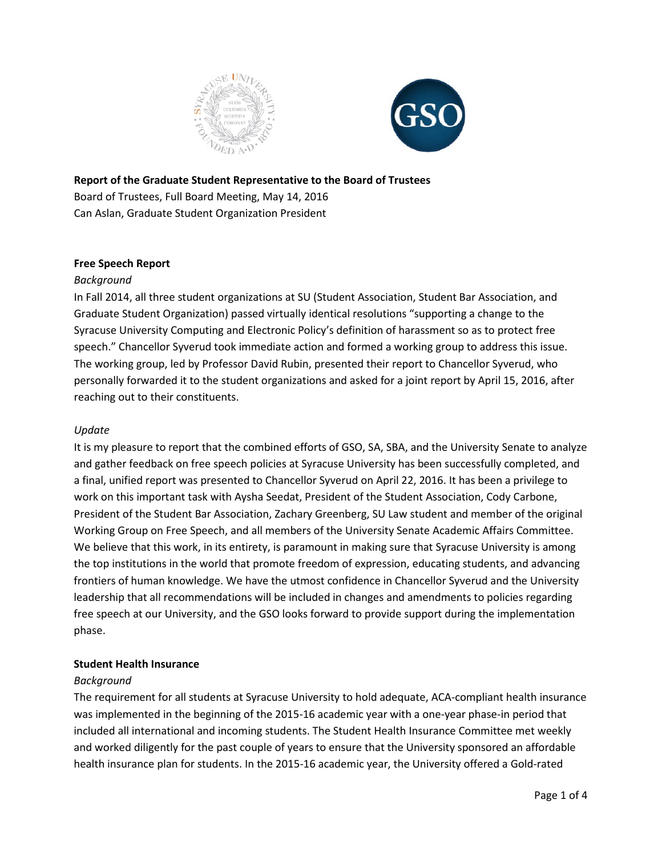



### **Report of the Graduate Student Representative to the Board of Trustees**

Board of Trustees, Full Board Meeting, May 14, 2016 Can Aslan, Graduate Student Organization President

# **Free Speech Report**

### *Background*

In Fall 2014, all three student organizations at SU (Student Association, Student Bar Association, and Graduate Student Organization) passed virtually identical resolutions "supporting a change to the Syracuse University Computing and Electronic Policy's definition of harassment so as to protect free speech." Chancellor Syverud took immediate action and formed a working group to address this issue. The working group, led by Professor David Rubin, presented their report to Chancellor Syverud, who personally forwarded it to the student organizations and asked for a joint report by April 15, 2016, after reaching out to their constituents.

### *Update*

It is my pleasure to report that the combined efforts of GSO, SA, SBA, and the University Senate to analyze and gather feedback on free speech policies at Syracuse University has been successfully completed, and a final, unified report was presented to Chancellor Syverud on April 22, 2016. It has been a privilege to work on this important task with Aysha Seedat, President of the Student Association, Cody Carbone, President of the Student Bar Association, Zachary Greenberg, SU Law student and member of the original Working Group on Free Speech, and all members of the University Senate Academic Affairs Committee. We believe that this work, in its entirety, is paramount in making sure that Syracuse University is among the top institutions in the world that promote freedom of expression, educating students, and advancing frontiers of human knowledge. We have the utmost confidence in Chancellor Syverud and the University leadership that all recommendations will be included in changes and amendments to policies regarding free speech at our University, and the GSO looks forward to provide support during the implementation phase.

#### **Student Health Insurance**

#### *Background*

The requirement for all students at Syracuse University to hold adequate, ACA-compliant health insurance was implemented in the beginning of the 2015-16 academic year with a one-year phase-in period that included all international and incoming students. The Student Health Insurance Committee met weekly and worked diligently for the past couple of years to ensure that the University sponsored an affordable health insurance plan for students. In the 2015-16 academic year, the University offered a Gold-rated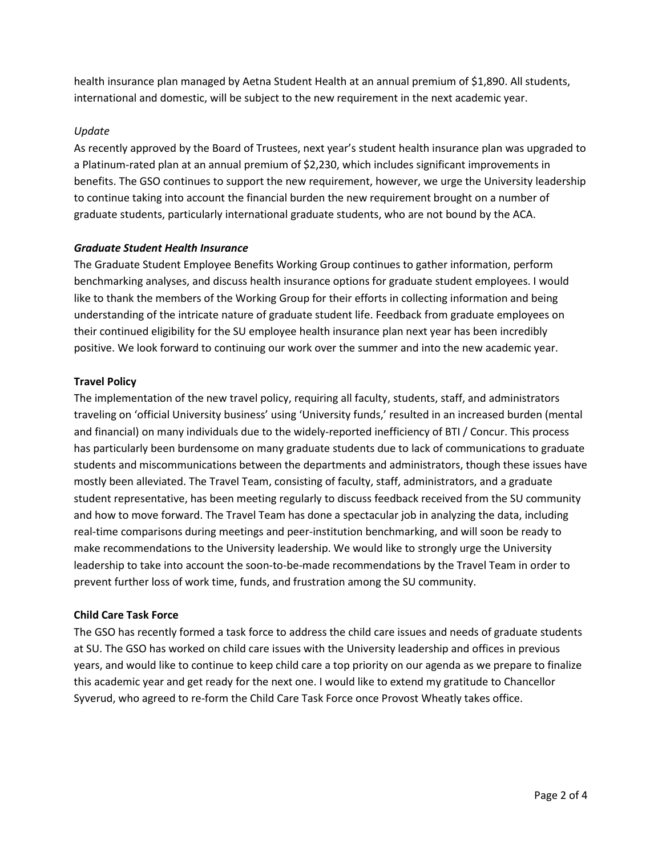health insurance plan managed by Aetna Student Health at an annual premium of \$1,890. All students, international and domestic, will be subject to the new requirement in the next academic year.

### *Update*

As recently approved by the Board of Trustees, next year's student health insurance plan was upgraded to a Platinum-rated plan at an annual premium of \$2,230, which includes significant improvements in benefits. The GSO continues to support the new requirement, however, we urge the University leadership to continue taking into account the financial burden the new requirement brought on a number of graduate students, particularly international graduate students, who are not bound by the ACA.

### *Graduate Student Health Insurance*

The Graduate Student Employee Benefits Working Group continues to gather information, perform benchmarking analyses, and discuss health insurance options for graduate student employees. I would like to thank the members of the Working Group for their efforts in collecting information and being understanding of the intricate nature of graduate student life. Feedback from graduate employees on their continued eligibility for the SU employee health insurance plan next year has been incredibly positive. We look forward to continuing our work over the summer and into the new academic year.

### **Travel Policy**

The implementation of the new travel policy, requiring all faculty, students, staff, and administrators traveling on 'official University business' using 'University funds,' resulted in an increased burden (mental and financial) on many individuals due to the widely-reported inefficiency of BTI / Concur. This process has particularly been burdensome on many graduate students due to lack of communications to graduate students and miscommunications between the departments and administrators, though these issues have mostly been alleviated. The Travel Team, consisting of faculty, staff, administrators, and a graduate student representative, has been meeting regularly to discuss feedback received from the SU community and how to move forward. The Travel Team has done a spectacular job in analyzing the data, including real-time comparisons during meetings and peer-institution benchmarking, and will soon be ready to make recommendations to the University leadership. We would like to strongly urge the University leadership to take into account the soon-to-be-made recommendations by the Travel Team in order to prevent further loss of work time, funds, and frustration among the SU community.

### **Child Care Task Force**

The GSO has recently formed a task force to address the child care issues and needs of graduate students at SU. The GSO has worked on child care issues with the University leadership and offices in previous years, and would like to continue to keep child care a top priority on our agenda as we prepare to finalize this academic year and get ready for the next one. I would like to extend my gratitude to Chancellor Syverud, who agreed to re-form the Child Care Task Force once Provost Wheatly takes office.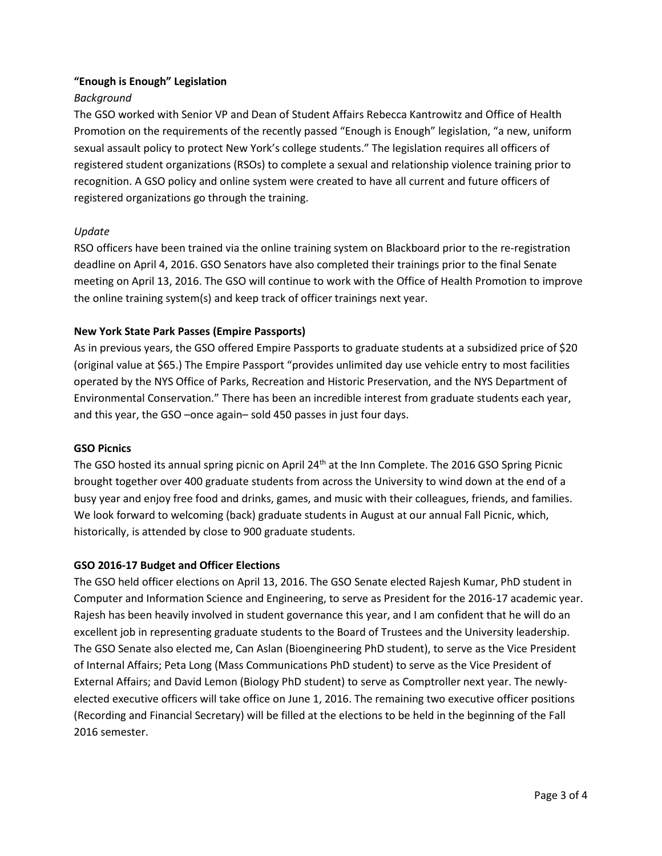# **"Enough is Enough" Legislation**

### *Background*

The GSO worked with Senior VP and Dean of Student Affairs Rebecca Kantrowitz and Office of Health Promotion on the requirements of the recently passed "Enough is Enough" legislation, "a new, uniform sexual assault policy to protect New York's college students." The legislation requires all officers of registered student organizations (RSOs) to complete a sexual and relationship violence training prior to recognition. A GSO policy and online system were created to have all current and future officers of registered organizations go through the training.

# *Update*

RSO officers have been trained via the online training system on Blackboard prior to the re-registration deadline on April 4, 2016. GSO Senators have also completed their trainings prior to the final Senate meeting on April 13, 2016. The GSO will continue to work with the Office of Health Promotion to improve the online training system(s) and keep track of officer trainings next year.

# **New York State Park Passes (Empire Passports)**

As in previous years, the GSO offered Empire Passports to graduate students at a subsidized price of \$20 (original value at \$65.) The Empire Passport "provides unlimited day use vehicle entry to most facilities operated by the NYS Office of Parks, Recreation and Historic Preservation, and the NYS Department of Environmental Conservation." There has been an incredible interest from graduate students each year, and this year, the GSO –once again– sold 450 passes in just four days.

### **GSO Picnics**

The GSO hosted its annual spring picnic on April 24<sup>th</sup> at the Inn Complete. The 2016 GSO Spring Picnic brought together over 400 graduate students from across the University to wind down at the end of a busy year and enjoy free food and drinks, games, and music with their colleagues, friends, and families. We look forward to welcoming (back) graduate students in August at our annual Fall Picnic, which, historically, is attended by close to 900 graduate students.

### **GSO 2016-17 Budget and Officer Elections**

The GSO held officer elections on April 13, 2016. The GSO Senate elected Rajesh Kumar, PhD student in Computer and Information Science and Engineering, to serve as President for the 2016-17 academic year. Rajesh has been heavily involved in student governance this year, and I am confident that he will do an excellent job in representing graduate students to the Board of Trustees and the University leadership. The GSO Senate also elected me, Can Aslan (Bioengineering PhD student), to serve as the Vice President of Internal Affairs; Peta Long (Mass Communications PhD student) to serve as the Vice President of External Affairs; and David Lemon (Biology PhD student) to serve as Comptroller next year. The newlyelected executive officers will take office on June 1, 2016. The remaining two executive officer positions (Recording and Financial Secretary) will be filled at the elections to be held in the beginning of the Fall 2016 semester.